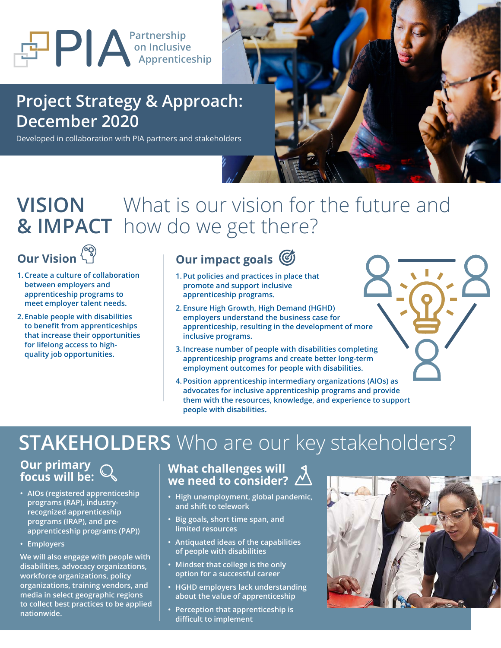# **PIA**<br> **Apprenticeship Apprenticeship**

### **Project Strategy & Approach: December 2020**

Developed in collaboration with PIA partners and stakeholders



#### **VISION & IMPACT** What is our vision for the future and how do we get there?

# **Our Vision**

- **1.Create a culture of collaboration between employers and apprenticeship programs to meet employer talent needs.**
- **2. Enable people with disabilities to benefit from apprenticeships that increase their opportunities for lifelong access to highquality job opportunities.**

#### **Our impact goals**

- **1. Put policies and practices in place that promote and support inclusive apprenticeship programs.**
- **2. Ensure High Growth, High Demand (HGHD) employers understand the business case for apprenticeship, resulting in the development of more inclusive programs.**
- **3. Increase number of people with disabilities completing apprenticeship programs and create better long-term employment outcomes for people with disabilities.**
- **4. Position apprenticeship intermediary organizations (AIOs) as advocates for inclusive apprenticeship programs and provide them with the resources, knowledge, and experience to support people with disabilities.**

# **STAKEHOLDERS** Who are our key stakeholders?

#### **Our primary focus will be:**

- **• AIOs (registered apprenticeship programs (RAP), industryrecognized apprenticeship programs (IRAP), and preapprenticeship programs (PAP))**
- **• Employers**

**We will also engage with people with disabilities, advocacy organizations, workforce organizations, policy organizations, training vendors, and media in select geographic regions to collect best practices to be applied nationwide.**

#### **What challenges will we need to consider?**

- **• High unemployment, global pandemic, and shift to telework**
- **• Big goals, short time span, and limited resources**
- **• Antiquated ideas of the capabilities of people with disabilities**
- **• Mindset that college is the only option for a successful career**
- **• HGHD employers lack understanding about the value of apprenticeship**
- **• Perception that apprenticeship is difficult to implement**